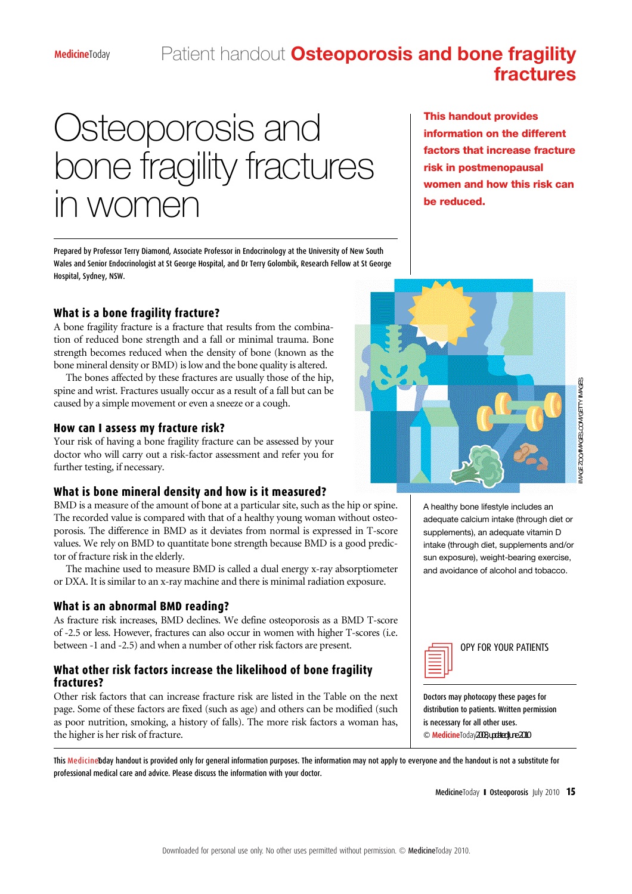## Patient handout **Osteoporosis and bone fragility fractures**

# Osteoporosis and bone fragility fractures in women

Prepared by Professor Terry Diamond, Associate Professor in Endocrinology at the University of New South Wales and Senior Endocrinologist at St George Hospital, and Dr Terry Golombik, Research Fellow at St George Hospital, Sydney, NSW.

**What is a bone fragility fracture?**

A bone fragility fracture is a fracture that results from the combination of reduced bone strength and a fall or minimal trauma. Bone strength becomes reduced when the density of bone (known as the bone mineral density or BMD) is low and the bone quality is altered.

The bones affected by these fractures are usually those of the hip, spine and wrist. Fractures usually occur as a result of a fall but can be caused by a simple movement or even a sneeze or a cough.

#### **How can I assess my fracture risk?**

Your risk of having a bone fragility fracture can be assessed by your doctor who will carry out a risk-factor assessment and refer you for further testing, if necessary.

#### **What is bone mineral density and how is it measured?**

BMD is a measure of the amount of bone at a particular site, such as the hip or spine. The recorded value is compared with that of a healthy young woman without osteoporosis. The difference in BMD as it deviates from normal is expressed in T-score values. We rely on BMD to quantitate bone strength because BMD is a good predictor of fracture risk in the elderly.

The machine used to measure BMD is called a dual energy x-ray absorptiometer or DXA. It is similar to an x-ray machine and there is minimal radiation exposure.

#### **What is an abnormal BMD reading?**

As fracture risk increases, BMD declines. We define osteoporosis as a BMD T-score of -2.5 or less. However, fractures can also occur in women with higher T-scores (i.e. between -1 and -2.5) and when a number of other risk factors are present.

#### **What other risk factors increase the likelihood of bone fragility f r a c t u r e s ?**

Other risk factors that can increase fracture risk are listed in the Table on the next page. Some of these factors are fixed (such as age) and others can be modified (such as poor nutrition, smoking, a history of falls). The more risk factors a woman has, the higher is her risk of fracture.

This handout provides information on the different factors that increase fracture risk in postmenopausal women and how this risk can be reduced.



A healthy bone lifestyle includes an adequate calcium intake (through diet or supplements), an adequate vitamin D intake (through diet, supplements and/or sun exposure), weight-bearing exercise, and avoidance of alcohol and tobacco.



#### OPY FOR YOUR PATIENTS

Doctors may photocopy these pages for distribution to patients. Written permission is necessary for all other uses. © MedicineToday2008, updated Line2010

This Medicine bday handout is provided only for general information purposes. The information may not apply to everyone and the handout is not a substitute for professional medical care and advice. Please discuss the information with your doctor.

MedicineToday **I Osteoporosis** July 2010 15